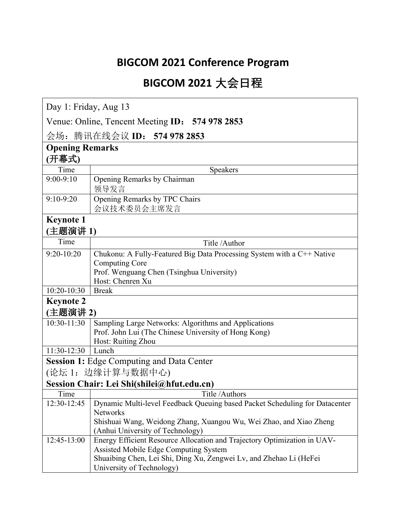### **BIGCOM 2021 Conference Program**

# **BIGCOM 2021 大会日程**

Day 1: Friday, Aug 13

Venue: Online, Tencent Meeting **ID**: **574 978 2853**

会场:腾讯在线会议 **ID**: **574 978 2853**

| <b>Opening Remarks</b>   |                                                                             |
|--------------------------|-----------------------------------------------------------------------------|
| (开幕式)                    |                                                                             |
| Time                     | Speakers                                                                    |
| $9:00-9:10$              | Opening Remarks by Chairman<br>领导发言                                         |
| $9:10-9:20$              | Opening Remarks by TPC Chairs                                               |
|                          | 会议技术委员会主席发言                                                                 |
| <b>Keynote 1</b>         |                                                                             |
| (主题演讲1)                  |                                                                             |
| Time                     | Title /Author                                                               |
| $9:20-10:20$             | Chukonu: A Fully-Featured Big Data Processing System with a C++ Native      |
|                          | <b>Computing Core</b>                                                       |
|                          | Prof. Wenguang Chen (Tsinghua University)                                   |
|                          | Host: Chenren Xu                                                            |
| 10:20-10:30              | <b>Break</b>                                                                |
| <b>Keynote 2</b>         |                                                                             |
| (主题演讲 2)                 |                                                                             |
| $\overline{10:}30-11:30$ | Sampling Large Networks: Algorithms and Applications                        |
|                          | Prof. John Lui (The Chinese University of Hong Kong)                        |
|                          | Host: Ruiting Zhou                                                          |
| $11:30-12:30$            | Lunch                                                                       |
|                          | <b>Session 1: Edge Computing and Data Center</b>                            |
|                          | (论坛 1: 边缘计算与数据中心)                                                           |
|                          | Session Chair: Lei Shi(shilei@hfut.edu.cn)                                  |
| Time                     | Title /Authors                                                              |
| 12:30-12:45              | Dynamic Multi-level Feedback Queuing based Packet Scheduling for Datacenter |
|                          | <b>Networks</b>                                                             |
|                          | Shishuai Wang, Weidong Zhang, Xuangou Wu, Wei Zhao, and Xiao Zheng          |
|                          | (Anhui University of Technology)                                            |
| 12:45-13:00              | Energy Efficient Resource Allocation and Trajectory Optimization in UAV-    |
|                          | Assisted Mobile Edge Computing System                                       |
|                          | Shuaibing Chen, Lei Shi, Ding Xu, Zengwei Lv, and Zhehao Li (HeFei          |
|                          | University of Technology)                                                   |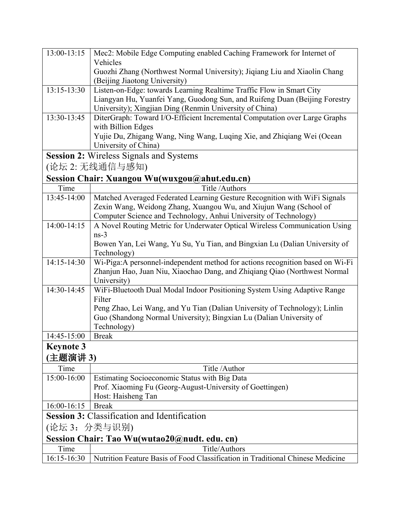| 13:00-13:15                                  | Mec2: Mobile Edge Computing enabled Caching Framework for Internet of          |
|----------------------------------------------|--------------------------------------------------------------------------------|
|                                              | Vehicles                                                                       |
|                                              | Guozhi Zhang (Northwest Normal University); Jiqiang Liu and Xiaolin Chang      |
|                                              | (Beijing Jiaotong University)                                                  |
| $13:15-13:30$                                | Listen-on-Edge: towards Learning Realtime Traffic Flow in Smart City           |
|                                              | Liangyan Hu, Yuanfei Yang, Guodong Sun, and Ruifeng Duan (Beijing Forestry     |
|                                              | University); Xingjian Ding (Renmin University of China)                        |
| 13:30-13:45                                  | DiterGraph: Toward I/O-Efficient Incremental Computation over Large Graphs     |
|                                              | with Billion Edges                                                             |
|                                              | Yujie Du, Zhigang Wang, Ning Wang, Luqing Xie, and Zhiqiang Wei (Ocean         |
|                                              | University of China)                                                           |
|                                              | Session 2: Wireless Signals and Systems                                        |
|                                              | (论坛 2: 无线通信与感知)                                                                |
|                                              | Session Chair: Xuangou Wu(wuxgou@ahut.edu.cn)                                  |
| Time                                         | Title /Authors                                                                 |
| 13:45-14:00                                  | Matched Averaged Federated Learning Gesture Recognition with WiFi Signals      |
|                                              | Zexin Wang, Weidong Zhang, Xuangou Wu, and Xiujun Wang (School of              |
|                                              | Computer Science and Technology, Anhui University of Technology)               |
| 14:00-14:15                                  | A Novel Routing Metric for Underwater Optical Wireless Communication Using     |
|                                              | $ns-3$                                                                         |
|                                              | Bowen Yan, Lei Wang, Yu Su, Yu Tian, and Bingxian Lu (Dalian University of     |
|                                              | Technology)                                                                    |
| $14:15 - 14:30$                              | Wi-Piga:A personnel-independent method for actions recognition based on Wi-Fi  |
|                                              | Zhanjun Hao, Juan Niu, Xiaochao Dang, and Zhiqiang Qiao (Northwest Normal      |
|                                              | University)                                                                    |
| 14:30-14:45                                  | WiFi-Bluetooth Dual Modal Indoor Positioning System Using Adaptive Range       |
|                                              | Filter                                                                         |
|                                              | Peng Zhao, Lei Wang, and Yu Tian (Dalian University of Technology); Linlin     |
|                                              | Guo (Shandong Normal University); Bingxian Lu (Dalian University of            |
|                                              | Technology)                                                                    |
| 14:45-15:00                                  | <b>Break</b>                                                                   |
| Keynote 3                                    |                                                                                |
| 主题演讲 3)                                      |                                                                                |
| Time                                         | Title /Author                                                                  |
| 15:00-16:00                                  | Estimating Socioeconomic Status with Big Data                                  |
|                                              | Prof. Xiaoming Fu (Georg-August-University of Goettingen)                      |
|                                              | Host: Haisheng Tan                                                             |
| 16:00-16:15                                  | <b>Break</b>                                                                   |
|                                              | <b>Session 3:</b> Classification and Identification                            |
| (论坛 3: 分类与识别)                                |                                                                                |
| Session Chair: Tao Wu(wutao20@nudt. edu. cn) |                                                                                |
| Time                                         | Title/Authors                                                                  |
| 16:15-16:30                                  | Nutrition Feature Basis of Food Classification in Traditional Chinese Medicine |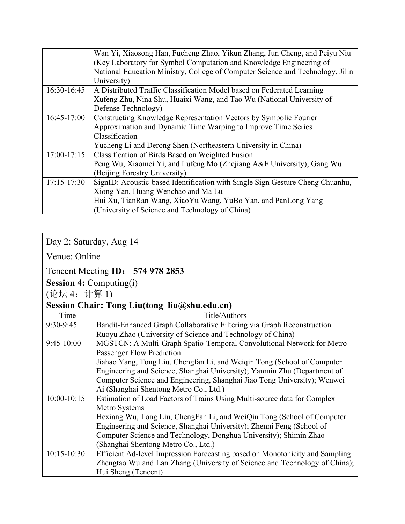|                 | Wan Yi, Xiaosong Han, Fucheng Zhao, Yikun Zhang, Jun Cheng, and Peiyu Niu      |
|-----------------|--------------------------------------------------------------------------------|
|                 | (Key Laboratory for Symbol Computation and Knowledge Engineering of            |
|                 | National Education Ministry, College of Computer Science and Technology, Jilin |
|                 | University)                                                                    |
| 16:30-16:45     | A Distributed Traffic Classification Model based on Federated Learning         |
|                 | Xufeng Zhu, Nina Shu, Huaixi Wang, and Tao Wu (National University of          |
|                 | Defense Technology)                                                            |
| $16:45-17:00$   | Constructing Knowledge Representation Vectors by Symbolic Fourier              |
|                 | Approximation and Dynamic Time Warping to Improve Time Series                  |
|                 | Classification                                                                 |
|                 | Yucheng Li and Derong Shen (Northeastern University in China)                  |
| $17:00-17:15$   | Classification of Birds Based on Weighted Fusion                               |
|                 | Peng Wu, Xiaomei Yi, and Lufeng Mo (Zhejiang A&F University); Gang Wu          |
|                 | (Beijing Forestry University)                                                  |
| $17:15 - 17:30$ | SignID: Acoustic-based Identification with Single Sign Gesture Cheng Chuanhu,  |
|                 | Xiong Yan, Huang Wenchao and Ma Lu                                             |
|                 | Hui Xu, TianRan Wang, XiaoYu Wang, YuBo Yan, and PanLong Yang                  |
|                 | (University of Science and Technology of China)                                |

### Day 2: Saturday, Aug 14

Venue: Online

#### Tencent Meeting **ID**: **574 978 2853**

**Session 4:** Computing(i)

(论坛 4:计算 1)

#### **Session Chair: Tong Liu(tong\_liu@shu.edu.cn)**

| Time            | Title/Authors                                                                |
|-----------------|------------------------------------------------------------------------------|
| $9:30-9:45$     | Bandit-Enhanced Graph Collaborative Filtering via Graph Reconstruction       |
|                 | Ruoyu Zhao (University of Science and Technology of China)                   |
| $9:45-10:00$    | MGSTCN: A Multi-Graph Spatio-Temporal Convolutional Network for Metro        |
|                 | <b>Passenger Flow Prediction</b>                                             |
|                 | Jiahao Yang, Tong Liu, Chengfan Li, and Weiqin Tong (School of Computer      |
|                 | Engineering and Science, Shanghai University); Yanmin Zhu (Department of     |
|                 | Computer Science and Engineering, Shanghai Jiao Tong University); Wenwei     |
|                 | Ai (Shanghai Shentong Metro Co., Ltd.)                                       |
| $10:00-10:15$   | Estimation of Load Factors of Trains Using Multi-source data for Complex     |
|                 | Metro Systems                                                                |
|                 | Hexiang Wu, Tong Liu, ChengFan Li, and WeiQin Tong (School of Computer       |
|                 | Engineering and Science, Shanghai University); Zhenni Feng (School of        |
|                 | Computer Science and Technology, Donghua University); Shimin Zhao            |
|                 | (Shanghai Shentong Metro Co., Ltd.)                                          |
| $10:15 - 10:30$ | Efficient Ad-level Impression Forecasting based on Monotonicity and Sampling |
|                 | Zhengtao Wu and Lan Zhang (University of Science and Technology of China);   |
|                 | Hui Sheng (Tencent)                                                          |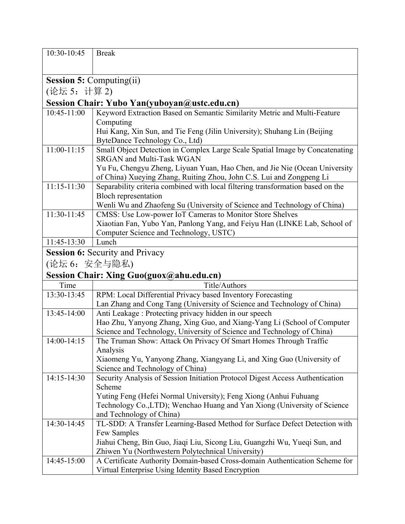| 10:30-10:45                                     | <b>Break</b>                                                                                                     |
|-------------------------------------------------|------------------------------------------------------------------------------------------------------------------|
|                                                 |                                                                                                                  |
|                                                 |                                                                                                                  |
| <b>Session 5: Computing(ii)</b><br>(论坛 5: 计算 2) |                                                                                                                  |
|                                                 | Session Chair: Yubo Yan(yuboyan@ustc.edu.cn)                                                                     |
|                                                 |                                                                                                                  |
| 10:45-11:00                                     | Keyword Extraction Based on Semantic Similarity Metric and Multi-Feature                                         |
|                                                 | Computing                                                                                                        |
|                                                 | Hui Kang, Xin Sun, and Tie Feng (Jilin University); Shuhang Lin (Beijing                                         |
| $11:00-11:15$                                   | ByteDance Technology Co., Ltd)                                                                                   |
|                                                 | Small Object Detection in Complex Large Scale Spatial Image by Concatenating<br><b>SRGAN and Multi-Task WGAN</b> |
|                                                 | Yu Fu, Chengyu Zheng, Liyuan Yuan, Hao Chen, and Jie Nie (Ocean University                                       |
|                                                 | of China) Xueying Zhang, Ruiting Zhou, John C.S. Lui and Zongpeng Li                                             |
| $11:15-11:30$                                   | Separability criteria combined with local filtering transformation based on the                                  |
|                                                 | <b>Bloch representation</b>                                                                                      |
|                                                 | Wenli Wu and Zhaofeng Su (University of Science and Technology of China)                                         |
| 11:30-11:45                                     | CMSS: Use Low-power IoT Cameras to Monitor Store Shelves                                                         |
|                                                 | Xiaotian Fan, Yubo Yan, Panlong Yang, and Feiyu Han (LINKE Lab, School of                                        |
|                                                 | Computer Science and Technology, USTC)                                                                           |
| 11:45-13:30                                     | Lunch                                                                                                            |
|                                                 | <b>Session 6: Security and Privacy</b>                                                                           |
| (论坛 6: 安全与隐私)                                   |                                                                                                                  |
|                                                 | Session Chair: Xing Guo(guox@ahu.edu.cn)                                                                         |
| Time                                            | Title/Authors                                                                                                    |
| 13:30-13:45                                     | RPM: Local Differential Privacy based Inventory Forecasting                                                      |
|                                                 | Lan Zhang and Cong Tang (University of Science and Technology of China)                                          |
| 13:45-14:00                                     | Anti Leakage: Protecting privacy hidden in our speech                                                            |
|                                                 | Hao Zhu, Yanyong Zhang, Xing Guo, and Xiang-Yang Li (School of Computer                                          |
|                                                 | Science and Technology, University of Science and Technology of China)                                           |
| 14:00-14:15                                     | The Truman Show: Attack On Privacy Of Smart Homes Through Traffic                                                |
|                                                 | Analysis                                                                                                         |
|                                                 | Xiaomeng Yu, Yanyong Zhang, Xiangyang Li, and Xing Guo (University of                                            |
|                                                 | Science and Technology of China)                                                                                 |
| 14:15-14:30                                     | Security Analysis of Session Initiation Protocol Digest Access Authentication                                    |
|                                                 | Scheme                                                                                                           |
|                                                 | Yuting Feng (Hefei Normal University); Feng Xiong (Anhui Fuhuang                                                 |
|                                                 | Technology Co., LTD); Wenchao Huang and Yan Xiong (University of Science                                         |
| 14:30-14:45                                     | and Technology of China)<br>TL-SDD: A Transfer Learning-Based Method for Surface Defect Detection with           |
|                                                 | Few Samples                                                                                                      |
|                                                 | Jiahui Cheng, Bin Guo, Jiaqi Liu, Sicong Liu, Guangzhi Wu, Yueqi Sun, and                                        |
|                                                 | Zhiwen Yu (Northwestern Polytechnical University)                                                                |
| 14:45-15:00                                     | A Certificate Authority Domain-based Cross-domain Authentication Scheme for                                      |
|                                                 | Virtual Enterprise Using Identity Based Encryption                                                               |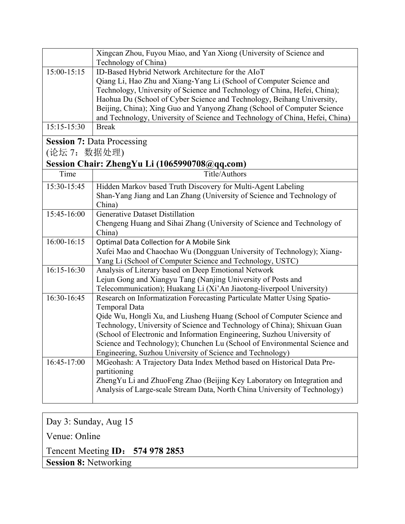|                                               | Xingcan Zhou, Fuyou Miao, and Yan Xiong (University of Science and<br>Technology of China)                                                         |
|-----------------------------------------------|----------------------------------------------------------------------------------------------------------------------------------------------------|
| $15:00-15:15$                                 | ID-Based Hybrid Network Architecture for the AIoT                                                                                                  |
|                                               | Qiang Li, Hao Zhu and Xiang-Yang Li (School of Computer Science and                                                                                |
|                                               | Technology, University of Science and Technology of China, Hefei, China);                                                                          |
|                                               | Haohua Du (School of Cyber Science and Technology, Beihang University,                                                                             |
|                                               | Beijing, China); Xing Guo and Yanyong Zhang (School of Computer Science                                                                            |
|                                               | and Technology, University of Science and Technology of China, Hefei, China)                                                                       |
| 15:15-15:30                                   | <b>Break</b>                                                                                                                                       |
| <b>Session 7: Data Processing</b>             |                                                                                                                                                    |
| (论坛 7:数据处理)                                   |                                                                                                                                                    |
| Session Chair: ZhengYu Li (1065990708@qq.com) |                                                                                                                                                    |
| Time                                          | Title/Authors                                                                                                                                      |
| 15:30-15:45                                   | Hidden Markov based Truth Discovery for Multi-Agent Labeling                                                                                       |
|                                               | Shan-Yang Jiang and Lan Zhang (University of Science and Technology of                                                                             |
|                                               | China)                                                                                                                                             |
| 15:45-16:00                                   | <b>Generative Dataset Distillation</b>                                                                                                             |
|                                               | Chengeng Huang and Sihai Zhang (University of Science and Technology of                                                                            |
|                                               | China)                                                                                                                                             |
| 16:00-16:15                                   | Optimal Data Collection for A Mobile Sink                                                                                                          |
|                                               | Xufei Mao and Chaochao Wu (Dongguan University of Technology); Xiang-                                                                              |
|                                               | Yang Li (School of Computer Science and Technology, USTC)                                                                                          |
| 16:15-16:30                                   | Analysis of Literary based on Deep Emotional Network                                                                                               |
|                                               | Lejun Gong and Xiangyu Tang (Nanjing University of Posts and                                                                                       |
|                                               | Telecommunication); Huakang Li (Xi'An Jiaotong-liverpool University)                                                                               |
| 16:30-16:45                                   | Research on Informatization Forecasting Particulate Matter Using Spatio-                                                                           |
|                                               | Temporal Data                                                                                                                                      |
|                                               | Qide Wu, Hongli Xu, and Liusheng Huang (School of Computer Science and<br>Technology, University of Science and Technology of China); Shixuan Guan |
|                                               | (School of Electronic and Information Engineering, Suzhou University of                                                                            |
|                                               | Science and Technology); Chunchen Lu (School of Environmental Science and                                                                          |
|                                               | Engineering, Suzhou University of Science and Technology)                                                                                          |
| 16:45-17:00                                   | MGeohash: A Trajectory Data Index Method based on Historical Data Pre-                                                                             |
|                                               | partitioning                                                                                                                                       |
|                                               | ZhengYu Li and ZhuoFeng Zhao (Beijing Key Laboratory on Integration and                                                                            |
|                                               | Analysis of Large-scale Stream Data, North China University of Technology)                                                                         |
|                                               |                                                                                                                                                    |

Day 3: Sunday, Aug 15 Venue: Online Tencent Meeting **ID**: **574 978 2853 Session 8:** Networking